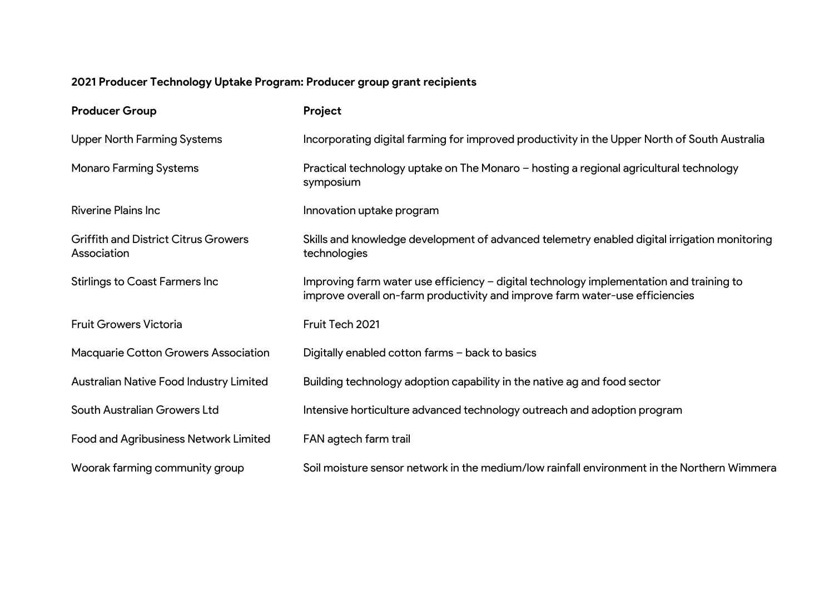## **2021 Producer Technology Uptake Program: Producer group grant recipients**

| <b>Producer Group</b>                                      | Project                                                                                                                                                                 |
|------------------------------------------------------------|-------------------------------------------------------------------------------------------------------------------------------------------------------------------------|
| <b>Upper North Farming Systems</b>                         | Incorporating digital farming for improved productivity in the Upper North of South Australia                                                                           |
| <b>Monaro Farming Systems</b>                              | Practical technology uptake on The Monaro - hosting a regional agricultural technology<br>symposium                                                                     |
| <b>Riverine Plains Inc.</b>                                | Innovation uptake program                                                                                                                                               |
| <b>Griffith and District Citrus Growers</b><br>Association | Skills and knowledge development of advanced telemetry enabled digital irrigation monitoring<br>technologies                                                            |
| <b>Stirlings to Coast Farmers Inc</b>                      | Improving farm water use efficiency – digital technology implementation and training to<br>improve overall on-farm productivity and improve farm water-use efficiencies |
| <b>Fruit Growers Victoria</b>                              | Fruit Tech 2021                                                                                                                                                         |
| <b>Macquarie Cotton Growers Association</b>                | Digitally enabled cotton farms - back to basics                                                                                                                         |
| Australian Native Food Industry Limited                    | Building technology adoption capability in the native ag and food sector                                                                                                |
| South Australian Growers Ltd                               | Intensive horticulture advanced technology outreach and adoption program                                                                                                |
| <b>Food and Agribusiness Network Limited</b>               | FAN agtech farm trail                                                                                                                                                   |
| Woorak farming community group                             | Soil moisture sensor network in the medium/low rainfall environment in the Northern Wimmera                                                                             |